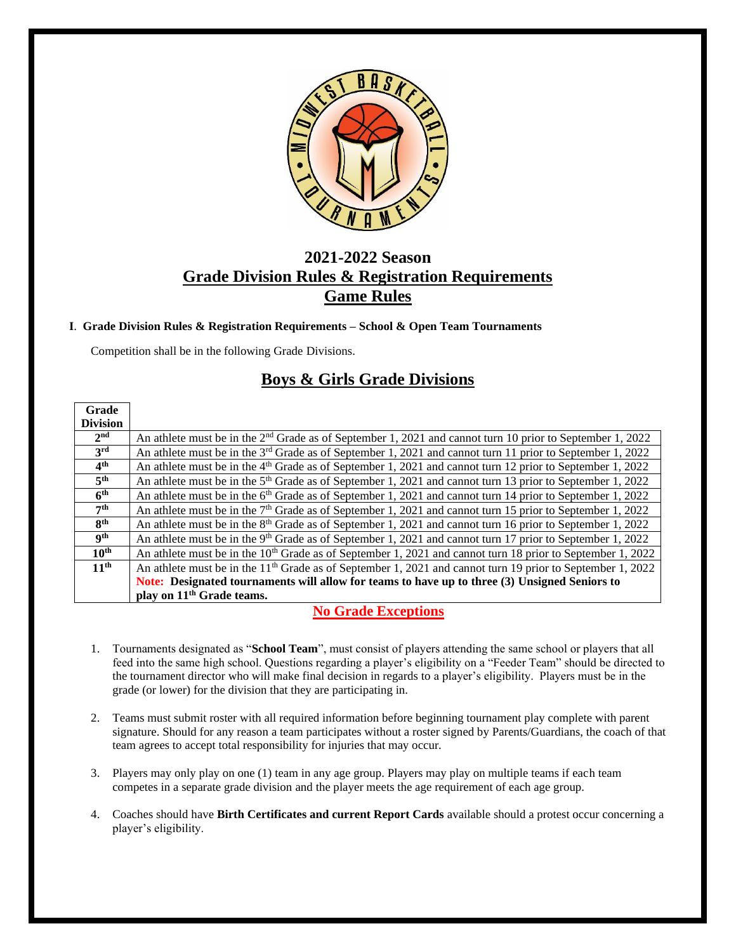

# **2021-2022 Season Grade Division Rules & Registration Requirements Game Rules**

### **I**. **Grade Division Rules & Registration Requirements – School & Open Team Tournaments**

Competition shall be in the following Grade Divisions.

# **Boys & Girls Grade Divisions**

| Grade            |                                                                                                                       |
|------------------|-----------------------------------------------------------------------------------------------------------------------|
| <b>Division</b>  |                                                                                                                       |
| 2 <sup>nd</sup>  | An athlete must be in the $2nd$ Grade as of September 1, 2021 and cannot turn 10 prior to September 1, 2022           |
| 3 <sup>rd</sup>  | An athlete must be in the $3^{rd}$ Grade as of September 1, 2021 and cannot turn 11 prior to September 1, 2022        |
| 4 <sup>th</sup>  | An athlete must be in the 4 <sup>th</sup> Grade as of September 1, 2021 and cannot turn 12 prior to September 1, 2022 |
| 5 <sup>th</sup>  | An athlete must be in the 5 <sup>th</sup> Grade as of September 1, 2021 and cannot turn 13 prior to September 1, 2022 |
| 6 <sup>th</sup>  | An athlete must be in the 6 <sup>th</sup> Grade as of September 1, 2021 and cannot turn 14 prior to September 1, 2022 |
| 7 <sup>th</sup>  | An athlete must be in the $7th$ Grade as of September 1, 2021 and cannot turn 15 prior to September 1, 2022           |
| 8 <sup>th</sup>  | An athlete must be in the 8 <sup>th</sup> Grade as of September 1, 2021 and cannot turn 16 prior to September 1, 2022 |
| <b>gth</b>       | An athlete must be in the 9 <sup>th</sup> Grade as of September 1, 2021 and cannot turn 17 prior to September 1, 2022 |
| $10^{\text{th}}$ | An athlete must be in the $10th$ Grade as of September 1, 2021 and cannot turn 18 prior to September 1, 2022          |
| 11 <sup>th</sup> | An athlete must be in the $11th$ Grade as of September 1, 2021 and cannot turn 19 prior to September 1, 2022          |
|                  | Note: Designated tournaments will allow for teams to have up to three (3) Unsigned Seniors to                         |
|                  | play on 11 <sup>th</sup> Grade teams.                                                                                 |

## **No Grade Exceptions**

- 1. Tournaments designated as "**School Team**", must consist of players attending the same school or players that all feed into the same high school. Questions regarding a player's eligibility on a "Feeder Team" should be directed to the tournament director who will make final decision in regards to a player's eligibility. Players must be in the grade (or lower) for the division that they are participating in.
- 2. Teams must submit roster with all required information before beginning tournament play complete with parent signature. Should for any reason a team participates without a roster signed by Parents/Guardians, the coach of that team agrees to accept total responsibility for injuries that may occur.
- 3. Players may only play on one (1) team in any age group. Players may play on multiple teams if each team competes in a separate grade division and the player meets the age requirement of each age group.
- 4. Coaches should have **Birth Certificates and current Report Cards** available should a protest occur concerning a player's eligibility.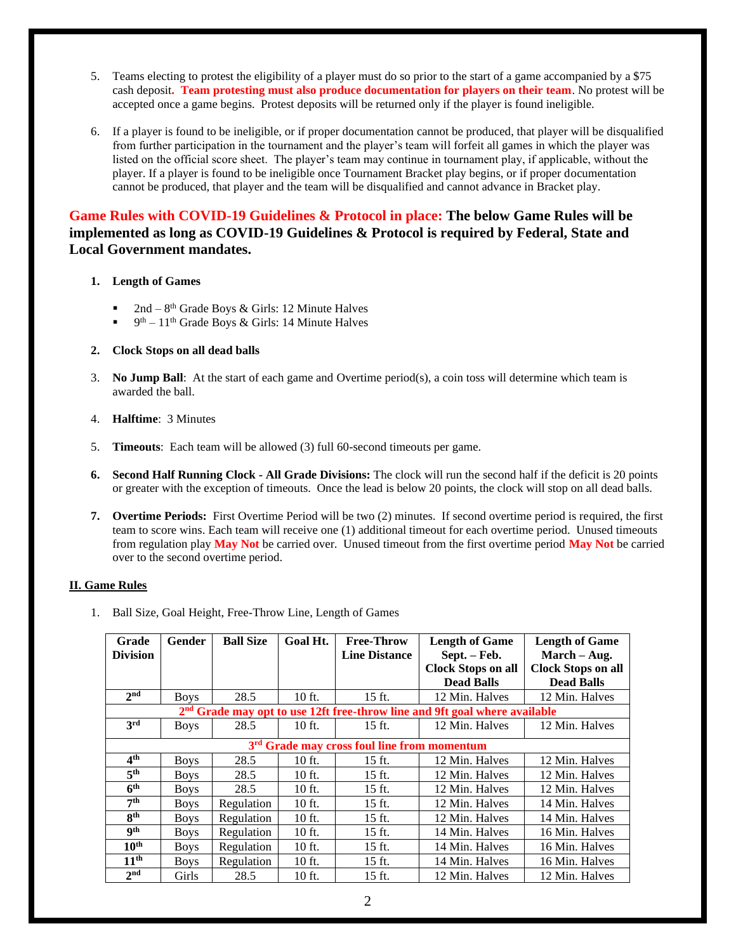- 5. Teams electing to protest the eligibility of a player must do so prior to the start of a game accompanied by a \$75 cash deposit**. Team protesting must also produce documentation for players on their team**. No protest will be accepted once a game begins. Protest deposits will be returned only if the player is found ineligible.
- 6. If a player is found to be ineligible, or if proper documentation cannot be produced, that player will be disqualified from further participation in the tournament and the player's team will forfeit all games in which the player was listed on the official score sheet. The player's team may continue in tournament play, if applicable, without the player. If a player is found to be ineligible once Tournament Bracket play begins, or if proper documentation cannot be produced, that player and the team will be disqualified and cannot advance in Bracket play.

## **Game Rules with COVID-19 Guidelines & Protocol in place: The below Game Rules will be implemented as long as COVID-19 Guidelines & Protocol is required by Federal, State and Local Government mandates.**

#### **1. Length of Games**

- **•** 2nd  $8<sup>th</sup>$  Grade Boys & Girls: 12 Minute Halves
- $\bullet$  9<sup>th</sup> 11<sup>th</sup> Grade Boys & Girls: 14 Minute Halves

#### **2. Clock Stops on all dead balls**

- 3. **No Jump Ball**: At the start of each game and Overtime period(s), a coin toss will determine which team is awarded the ball.
- 4. **Halftime**: 3 Minutes
- 5. **Timeouts**: Each team will be allowed (3) full 60-second timeouts per game.
- **6. Second Half Running Clock - All Grade Divisions:** The clock will run the second half if the deficit is 20 points or greater with the exception of timeouts. Once the lead is below 20 points, the clock will stop on all dead balls.
- **7. Overtime Periods:** First Overtime Period will be two (2) minutes. If second overtime period is required, the first team to score wins. Each team will receive one (1) additional timeout for each overtime period. Unused timeouts from regulation play **May Not** be carried over. Unused timeout from the first overtime period **May Not** be carried over to the second overtime period.

### **II. Game Rules**

1. Ball Size, Goal Height, Free-Throw Line, Length of Games

| Grade<br><b>Division</b>                                                               | Gender      | <b>Ball Size</b> | Goal Ht. | <b>Free-Throw</b><br><b>Line Distance</b> | <b>Length of Game</b><br>Sept. - Feb. | <b>Length of Game</b><br>$March - Aug.$ |  |  |  |
|----------------------------------------------------------------------------------------|-------------|------------------|----------|-------------------------------------------|---------------------------------------|-----------------------------------------|--|--|--|
|                                                                                        |             |                  |          |                                           | <b>Clock Stops on all</b>             | <b>Clock Stops on all</b>               |  |  |  |
|                                                                                        |             |                  |          |                                           | <b>Dead Balls</b>                     | <b>Dead Balls</b>                       |  |  |  |
| 2 <sub>nd</sub>                                                                        | <b>Boys</b> | 28.5             | $10$ ft. | 15 ft.                                    | 12 Min. Halves                        | 12 Min. Halves                          |  |  |  |
| 2 <sup>nd</sup> Grade may opt to use 12ft free-throw line and 9ft goal where available |             |                  |          |                                           |                                       |                                         |  |  |  |
| 3rd                                                                                    | <b>Boys</b> | 28.5             | 10 ft.   | $15$ ft.                                  | 12 Min. Halves                        | 12 Min. Halves                          |  |  |  |
| 3 <sup>rd</sup> Grade may cross foul line from momentum                                |             |                  |          |                                           |                                       |                                         |  |  |  |
| $4^{\rm th}$                                                                           | <b>Boys</b> | 28.5             | 10 ft.   | 15 ft.                                    | 12 Min. Halves                        | 12 Min. Halves                          |  |  |  |
| 5 <sup>th</sup>                                                                        | <b>Boys</b> | 28.5             | 10 ft.   | 15 ft.                                    | 12 Min. Halves                        | 12 Min. Halves                          |  |  |  |
| 6 <sup>th</sup>                                                                        | <b>Boys</b> | 28.5             | 10 ft.   | 15 ft.                                    | 12 Min. Halves                        | 12 Min. Halves                          |  |  |  |
| 7 <sup>th</sup>                                                                        | <b>Boys</b> | Regulation       | 10 ft.   | 15 ft.                                    | 12 Min. Halves                        | 14 Min. Halves                          |  |  |  |
| <b>gth</b>                                                                             | <b>Boys</b> | Regulation       | 10 ft.   | 15 ft.                                    | 12 Min. Halves                        | 14 Min. Halves                          |  |  |  |
| <b>gth</b>                                                                             | <b>Boys</b> | Regulation       | 10 ft.   | 15 ft.                                    | 14 Min. Halves                        | 16 Min. Halves                          |  |  |  |
| $10^{\text{th}}$                                                                       | <b>Boys</b> | Regulation       | $10$ ft. | 15 ft.                                    | 14 Min. Halves                        | 16 Min. Halves                          |  |  |  |
| $11^{\text{th}}$                                                                       | <b>Boys</b> | Regulation       | 10 ft.   | 15 ft.                                    | 14 Min. Halves                        | 16 Min. Halves                          |  |  |  |
| 2 <sup>nd</sup>                                                                        | Girls       | 28.5             | 10 ft.   | 15 ft.                                    | 12 Min. Halves                        | 12 Min. Halves                          |  |  |  |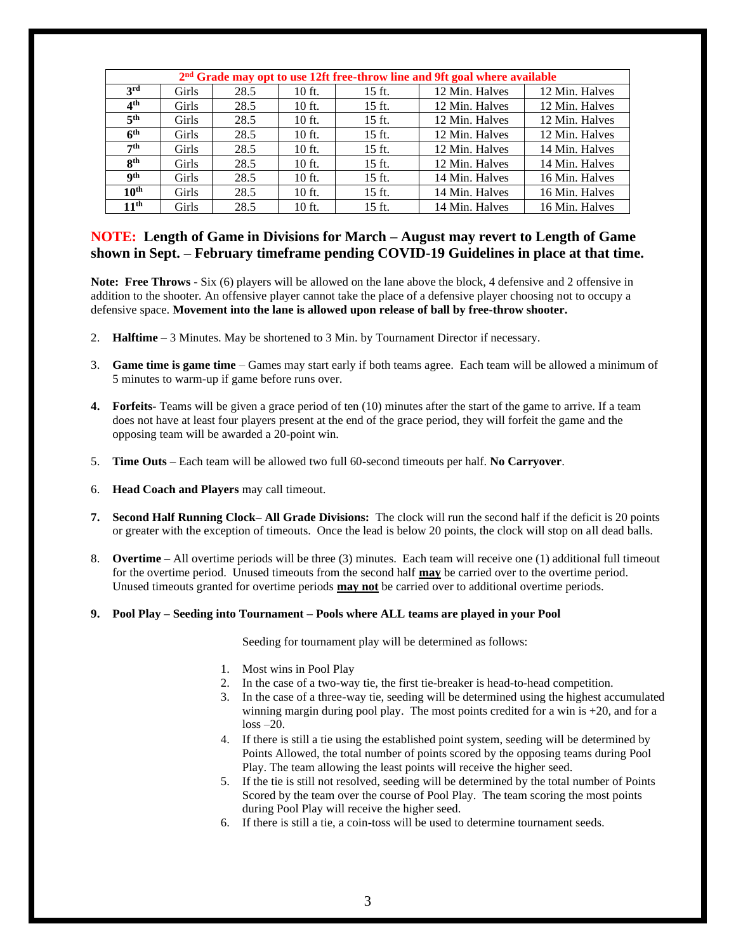| $2nd$ Grade may opt to use 12ft free-throw line and 9ft goal where available |              |      |          |          |                |                |  |  |  |
|------------------------------------------------------------------------------|--------------|------|----------|----------|----------------|----------------|--|--|--|
| 3 <sup>rd</sup>                                                              | Girls        | 28.5 | $10$ ft. | $15$ ft. | 12 Min. Halves | 12 Min. Halves |  |  |  |
| 4 <sup>th</sup>                                                              | Girls        | 28.5 | $10$ ft. | $15$ ft. | 12 Min. Halves | 12 Min. Halves |  |  |  |
| 5 <sup>th</sup>                                                              | <b>Girls</b> | 28.5 | $10$ ft. | $15$ ft. | 12 Min. Halves | 12 Min. Halves |  |  |  |
| 6 <sup>th</sup>                                                              | <b>Girls</b> | 28.5 | $10$ ft. | $15$ ft. | 12 Min. Halves | 12 Min. Halves |  |  |  |
| 7th                                                                          | Girls        | 28.5 | $10$ ft. | $15$ ft. | 12 Min. Halves | 14 Min. Halves |  |  |  |
| 8 <sup>th</sup>                                                              | <b>Girls</b> | 28.5 | $10$ ft. | $15$ ft. | 12 Min. Halves | 14 Min. Halves |  |  |  |
| <b>gth</b>                                                                   | Girls        | 28.5 | $10$ ft. | $15$ ft. | 14 Min. Halves | 16 Min. Halves |  |  |  |
| 10 <sup>th</sup>                                                             | Girls        | 28.5 | $10$ ft. | $15$ ft. | 14 Min. Halves | 16 Min. Halves |  |  |  |
| 11 <sup>th</sup>                                                             | Girls        | 28.5 | $10$ ft. | $15$ ft. | 14 Min. Halves | 16 Min. Halves |  |  |  |

## **NOTE: Length of Game in Divisions for March – August may revert to Length of Game shown in Sept. – February timeframe pending COVID-19 Guidelines in place at that time.**

**Note: Free Throws** - Six (6) players will be allowed on the lane above the block, 4 defensive and 2 offensive in addition to the shooter. An offensive player cannot take the place of a defensive player choosing not to occupy a defensive space. **Movement into the lane is allowed upon release of ball by free-throw shooter.**

- 2. **Halftime** 3 Minutes. May be shortened to 3 Min. by Tournament Director if necessary.
- 3. **Game time is game time** Games may start early if both teams agree. Each team will be allowed a minimum of 5 minutes to warm-up if game before runs over.
- **4. Forfeits-** Teams will be given a grace period of ten (10) minutes after the start of the game to arrive. If a team does not have at least four players present at the end of the grace period, they will forfeit the game and the opposing team will be awarded a 20-point win.
- 5. **Time Outs** Each team will be allowed two full 60-second timeouts per half. **No Carryover**.
- 6. **Head Coach and Players** may call timeout.
- **7. Second Half Running Clock– All Grade Divisions:** The clock will run the second half if the deficit is 20 points or greater with the exception of timeouts. Once the lead is below 20 points, the clock will stop on all dead balls.
- 8. **Overtime**  All overtime periods will be three (3) minutes. Each team will receive one (1) additional full timeout for the overtime period. Unused timeouts from the second half **may** be carried over to the overtime period. Unused timeouts granted for overtime periods **may not** be carried over to additional overtime periods.
- **9. Pool Play – Seeding into Tournament – Pools where ALL teams are played in your Pool**

Seeding for tournament play will be determined as follows:

- 1. Most wins in Pool Play
- 2. In the case of a two-way tie, the first tie-breaker is head-to-head competition.
- 3. In the case of a three-way tie, seeding will be determined using the highest accumulated winning margin during pool play. The most points credited for a win is +20, and for a  $loss -20.$
- 4. If there is still a tie using the established point system, seeding will be determined by Points Allowed, the total number of points scored by the opposing teams during Pool Play. The team allowing the least points will receive the higher seed.
- 5. If the tie is still not resolved, seeding will be determined by the total number of Points Scored by the team over the course of Pool Play. The team scoring the most points during Pool Play will receive the higher seed.
- 6. If there is still a tie, a coin-toss will be used to determine tournament seeds.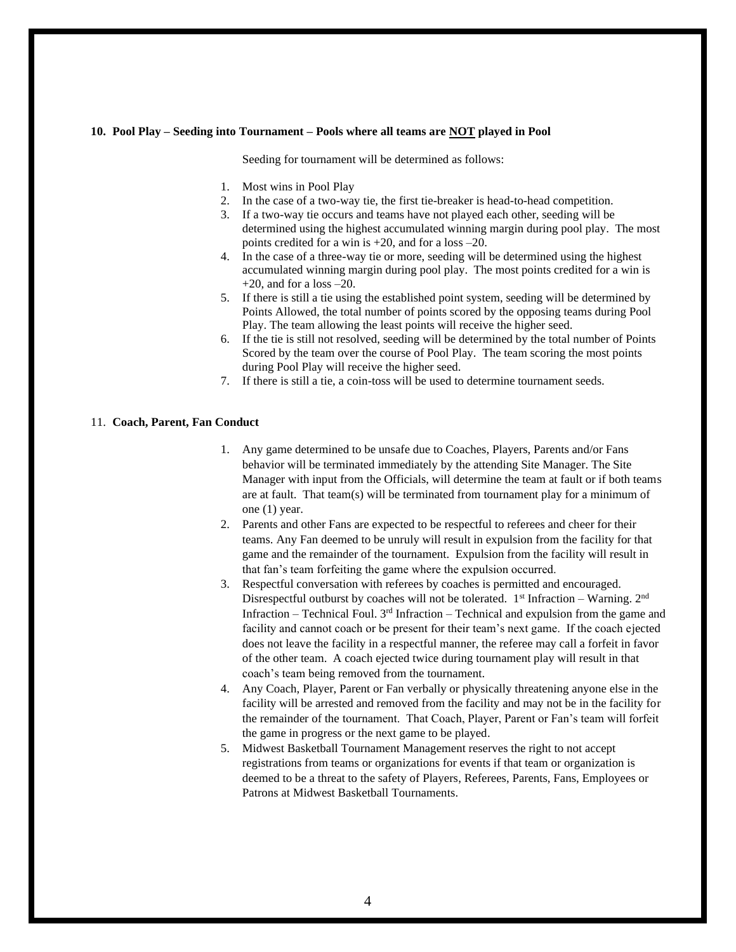#### **10. Pool Play – Seeding into Tournament – Pools where all teams are NOT played in Pool**

Seeding for tournament will be determined as follows:

- 1. Most wins in Pool Play
- 2. In the case of a two-way tie, the first tie-breaker is head-to-head competition.
- 3. If a two-way tie occurs and teams have not played each other, seeding will be determined using the highest accumulated winning margin during pool play. The most points credited for a win is +20, and for a loss –20.
- 4. In the case of a three-way tie or more, seeding will be determined using the highest accumulated winning margin during pool play. The most points credited for a win is  $+20$ , and for a loss  $-20$ .
- 5. If there is still a tie using the established point system, seeding will be determined by Points Allowed, the total number of points scored by the opposing teams during Pool Play. The team allowing the least points will receive the higher seed.
- 6. If the tie is still not resolved, seeding will be determined by the total number of Points Scored by the team over the course of Pool Play. The team scoring the most points during Pool Play will receive the higher seed.
- 7. If there is still a tie, a coin-toss will be used to determine tournament seeds.

#### 11. **Coach, Parent, Fan Conduct**

- 1. Any game determined to be unsafe due to Coaches, Players, Parents and/or Fans behavior will be terminated immediately by the attending Site Manager. The Site Manager with input from the Officials, will determine the team at fault or if both teams are at fault. That team(s) will be terminated from tournament play for a minimum of one (1) year.
- 2. Parents and other Fans are expected to be respectful to referees and cheer for their teams. Any Fan deemed to be unruly will result in expulsion from the facility for that game and the remainder of the tournament. Expulsion from the facility will result in that fan's team forfeiting the game where the expulsion occurred.
- 3. Respectful conversation with referees by coaches is permitted and encouraged. Disrespectful outburst by coaches will not be tolerated.  $1<sup>st</sup>$  Infraction – Warning.  $2<sup>nd</sup>$ Infraction – Technical Foul.  $3<sup>rd</sup>$  Infraction – Technical and expulsion from the game and facility and cannot coach or be present for their team's next game. If the coach ejected does not leave the facility in a respectful manner, the referee may call a forfeit in favor of the other team. A coach ejected twice during tournament play will result in that coach's team being removed from the tournament.
- 4. Any Coach, Player, Parent or Fan verbally or physically threatening anyone else in the facility will be arrested and removed from the facility and may not be in the facility for the remainder of the tournament. That Coach, Player, Parent or Fan's team will forfeit the game in progress or the next game to be played.
- 5. Midwest Basketball Tournament Management reserves the right to not accept registrations from teams or organizations for events if that team or organization is deemed to be a threat to the safety of Players, Referees, Parents, Fans, Employees or Patrons at Midwest Basketball Tournaments.